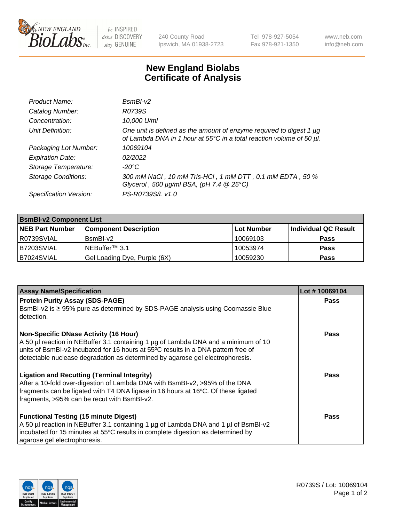

 $be$  INSPIRED drive DISCOVERY stay GENUINE

240 County Road Ipswich, MA 01938-2723 Tel 978-927-5054 Fax 978-921-1350 www.neb.com info@neb.com

## **New England Biolabs Certificate of Analysis**

| Product Name:              | $BsmBI-v2$                                                                                                                                  |
|----------------------------|---------------------------------------------------------------------------------------------------------------------------------------------|
| Catalog Number:            | R0739S                                                                                                                                      |
| Concentration:             | 10,000 U/ml                                                                                                                                 |
| Unit Definition:           | One unit is defined as the amount of enzyme required to digest 1 µg<br>of Lambda DNA in 1 hour at 55°C in a total reaction volume of 50 µl. |
| Packaging Lot Number:      | 10069104                                                                                                                                    |
| <b>Expiration Date:</b>    | 02/2022                                                                                                                                     |
| Storage Temperature:       | $-20^{\circ}$ C                                                                                                                             |
| <b>Storage Conditions:</b> | 300 mM NaCl, 10 mM Tris-HCl, 1 mM DTT, 0.1 mM EDTA, 50 %<br>Glycerol, 500 $\mu$ g/ml BSA, (pH 7.4 $@25°C$ )                                 |
| Specification Version:     | PS-R0739S/L v1.0                                                                                                                            |

| <b>BsmBI-v2 Component List</b> |                              |            |                      |  |  |
|--------------------------------|------------------------------|------------|----------------------|--|--|
| <b>NEB Part Number</b>         | <b>Component Description</b> | Lot Number | Individual QC Result |  |  |
| R0739SVIAL                     | BsmBI-v2                     | 10069103   | <b>Pass</b>          |  |  |
| B7203SVIAL                     | INEBuffer™ 3.1               | 10053974   | <b>Pass</b>          |  |  |
| B7024SVIAL                     | Gel Loading Dye, Purple (6X) | 10059230   | <b>Pass</b>          |  |  |

| <b>Assay Name/Specification</b>                                                                                                                                    | Lot #10069104 |
|--------------------------------------------------------------------------------------------------------------------------------------------------------------------|---------------|
| <b>Protein Purity Assay (SDS-PAGE)</b>                                                                                                                             | <b>Pass</b>   |
| BsmBI-v2 is $\geq$ 95% pure as determined by SDS-PAGE analysis using Coomassie Blue<br>detection.                                                                  |               |
| <b>Non-Specific DNase Activity (16 Hour)</b>                                                                                                                       | <b>Pass</b>   |
| A 50 µl reaction in NEBuffer 3.1 containing 1 µg of Lambda DNA and a minimum of 10                                                                                 |               |
| units of BsmBI-v2 incubated for 16 hours at 55°C results in a DNA pattern free of<br>detectable nuclease degradation as determined by agarose gel electrophoresis. |               |
|                                                                                                                                                                    |               |
| <b>Ligation and Recutting (Terminal Integrity)</b>                                                                                                                 | Pass          |
| After a 10-fold over-digestion of Lambda DNA with BsmBI-v2, >95% of the DNA<br>fragments can be ligated with T4 DNA ligase in 16 hours at 16°C. Of these ligated   |               |
| fragments, >95% can be recut with BsmBI-v2.                                                                                                                        |               |
|                                                                                                                                                                    |               |
| <b>Functional Testing (15 minute Digest)</b>                                                                                                                       | <b>Pass</b>   |
| A 50 µl reaction in NEBuffer 3.1 containing 1 µg of Lambda DNA and 1 µl of BsmBI-v2                                                                                |               |
| incubated for 15 minutes at 55°C results in complete digestion as determined by                                                                                    |               |
| agarose gel electrophoresis.                                                                                                                                       |               |